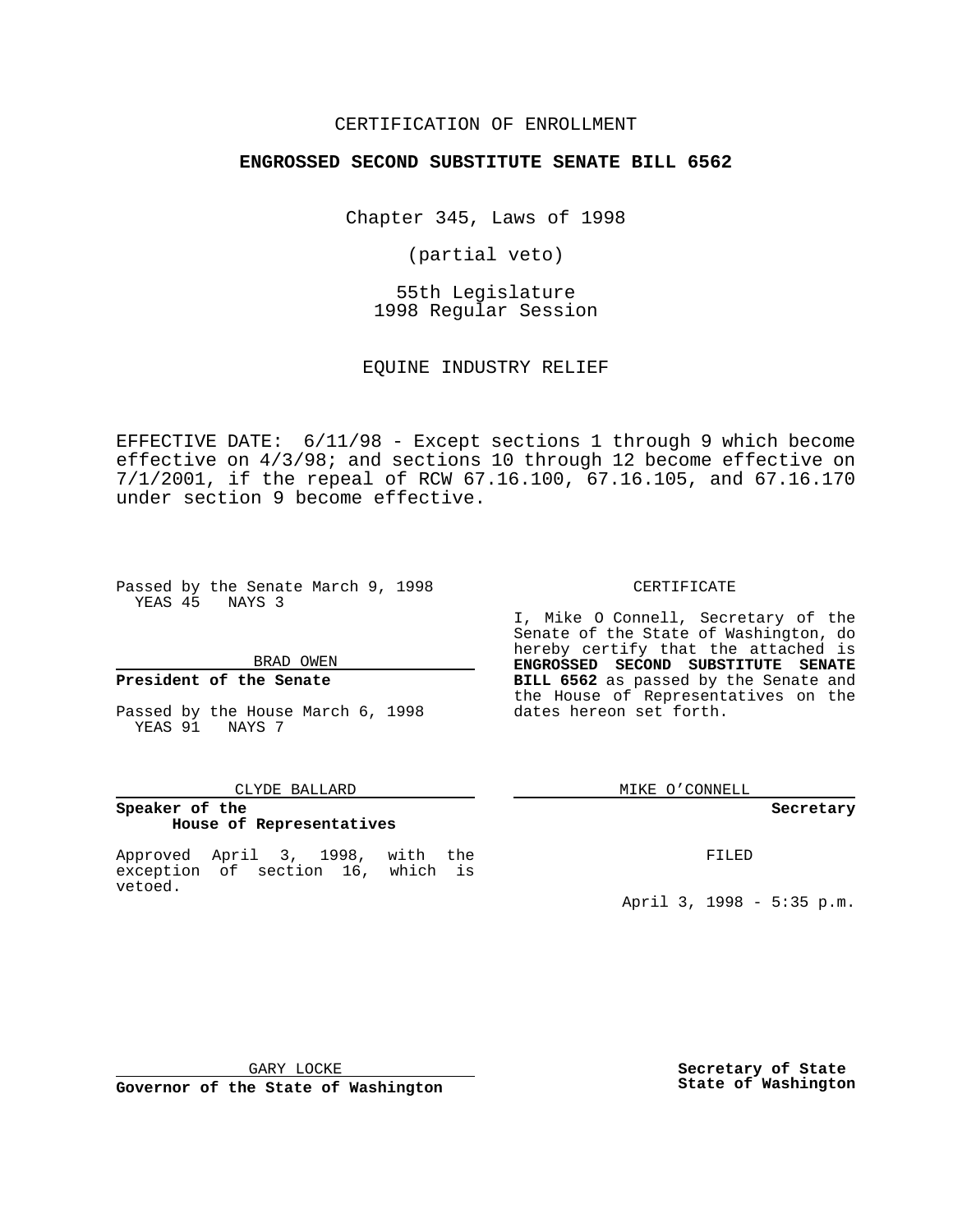### CERTIFICATION OF ENROLLMENT

## **ENGROSSED SECOND SUBSTITUTE SENATE BILL 6562**

Chapter 345, Laws of 1998

(partial veto)

55th Legislature 1998 Regular Session

EQUINE INDUSTRY RELIEF

EFFECTIVE DATE: 6/11/98 - Except sections 1 through 9 which become effective on 4/3/98; and sections 10 through 12 become effective on 7/1/2001, if the repeal of RCW 67.16.100, 67.16.105, and 67.16.170 under section 9 become effective.

Passed by the Senate March 9, 1998 YEAS 45 NAYS 3

BRAD OWEN

### **President of the Senate**

Passed by the House March 6, 1998 YEAS 91 NAYS 7

#### CLYDE BALLARD

## **Speaker of the House of Representatives**

Approved April 3, 1998, with the exception of section 16, which is vetoed.

CERTIFICATE

I, Mike O Connell, Secretary of the Senate of the State of Washington, do hereby certify that the attached is **ENGROSSED SECOND SUBSTITUTE SENATE BILL 6562** as passed by the Senate and the House of Representatives on the dates hereon set forth.

MIKE O'CONNELL

#### **Secretary**

FILED

April 3, 1998 - 5:35 p.m.

GARY LOCKE

**Governor of the State of Washington**

**Secretary of State State of Washington**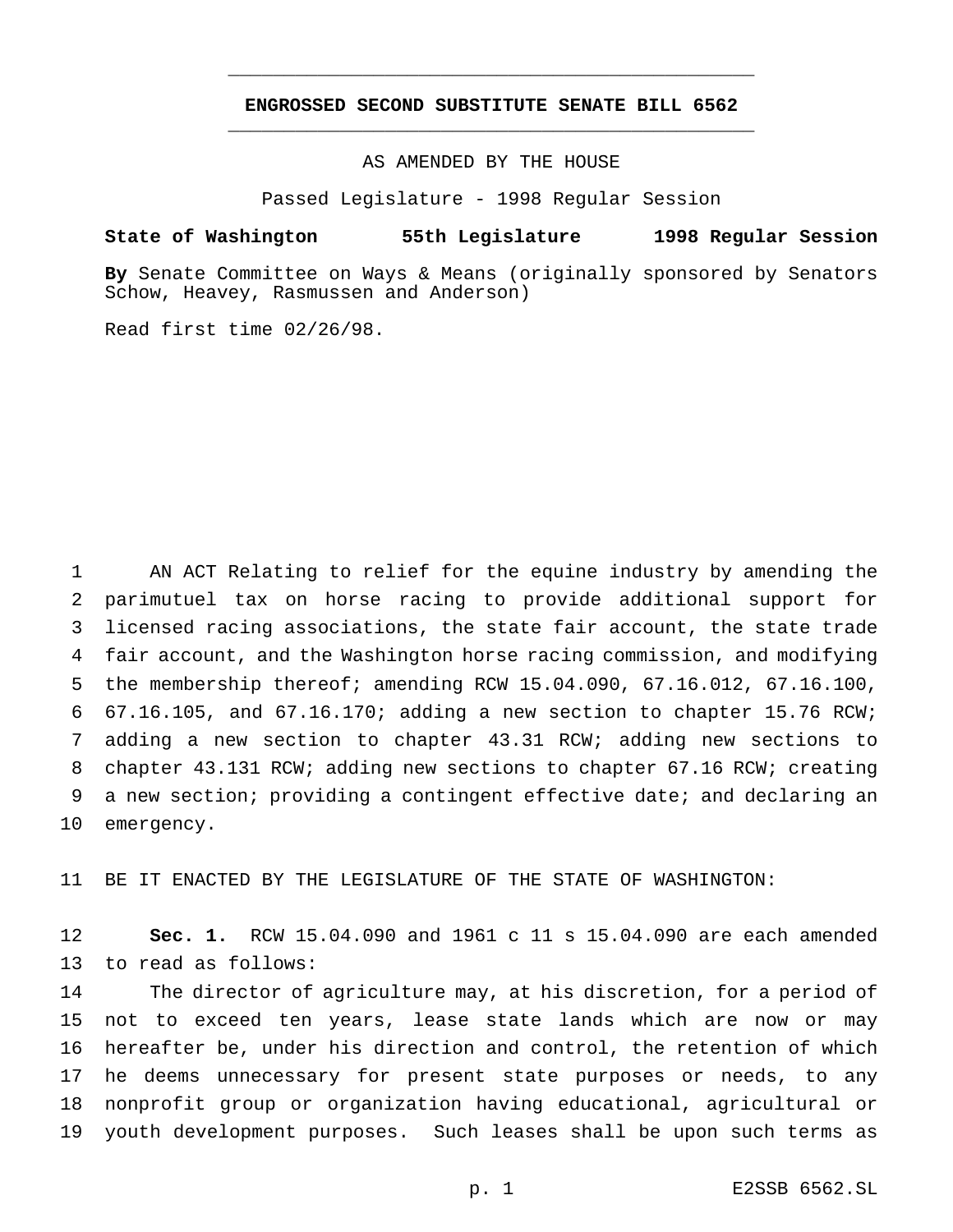# **ENGROSSED SECOND SUBSTITUTE SENATE BILL 6562** \_\_\_\_\_\_\_\_\_\_\_\_\_\_\_\_\_\_\_\_\_\_\_\_\_\_\_\_\_\_\_\_\_\_\_\_\_\_\_\_\_\_\_\_\_\_\_

\_\_\_\_\_\_\_\_\_\_\_\_\_\_\_\_\_\_\_\_\_\_\_\_\_\_\_\_\_\_\_\_\_\_\_\_\_\_\_\_\_\_\_\_\_\_\_

AS AMENDED BY THE HOUSE

Passed Legislature - 1998 Regular Session

#### **State of Washington 55th Legislature 1998 Regular Session**

**By** Senate Committee on Ways & Means (originally sponsored by Senators Schow, Heavey, Rasmussen and Anderson)

Read first time 02/26/98.

 AN ACT Relating to relief for the equine industry by amending the parimutuel tax on horse racing to provide additional support for licensed racing associations, the state fair account, the state trade fair account, and the Washington horse racing commission, and modifying the membership thereof; amending RCW 15.04.090, 67.16.012, 67.16.100, 67.16.105, and 67.16.170; adding a new section to chapter 15.76 RCW; adding a new section to chapter 43.31 RCW; adding new sections to chapter 43.131 RCW; adding new sections to chapter 67.16 RCW; creating a new section; providing a contingent effective date; and declaring an emergency.

BE IT ENACTED BY THE LEGISLATURE OF THE STATE OF WASHINGTON:

 **Sec. 1.** RCW 15.04.090 and 1961 c 11 s 15.04.090 are each amended to read as follows:

 The director of agriculture may, at his discretion, for a period of not to exceed ten years, lease state lands which are now or may hereafter be, under his direction and control, the retention of which he deems unnecessary for present state purposes or needs, to any nonprofit group or organization having educational, agricultural or youth development purposes. Such leases shall be upon such terms as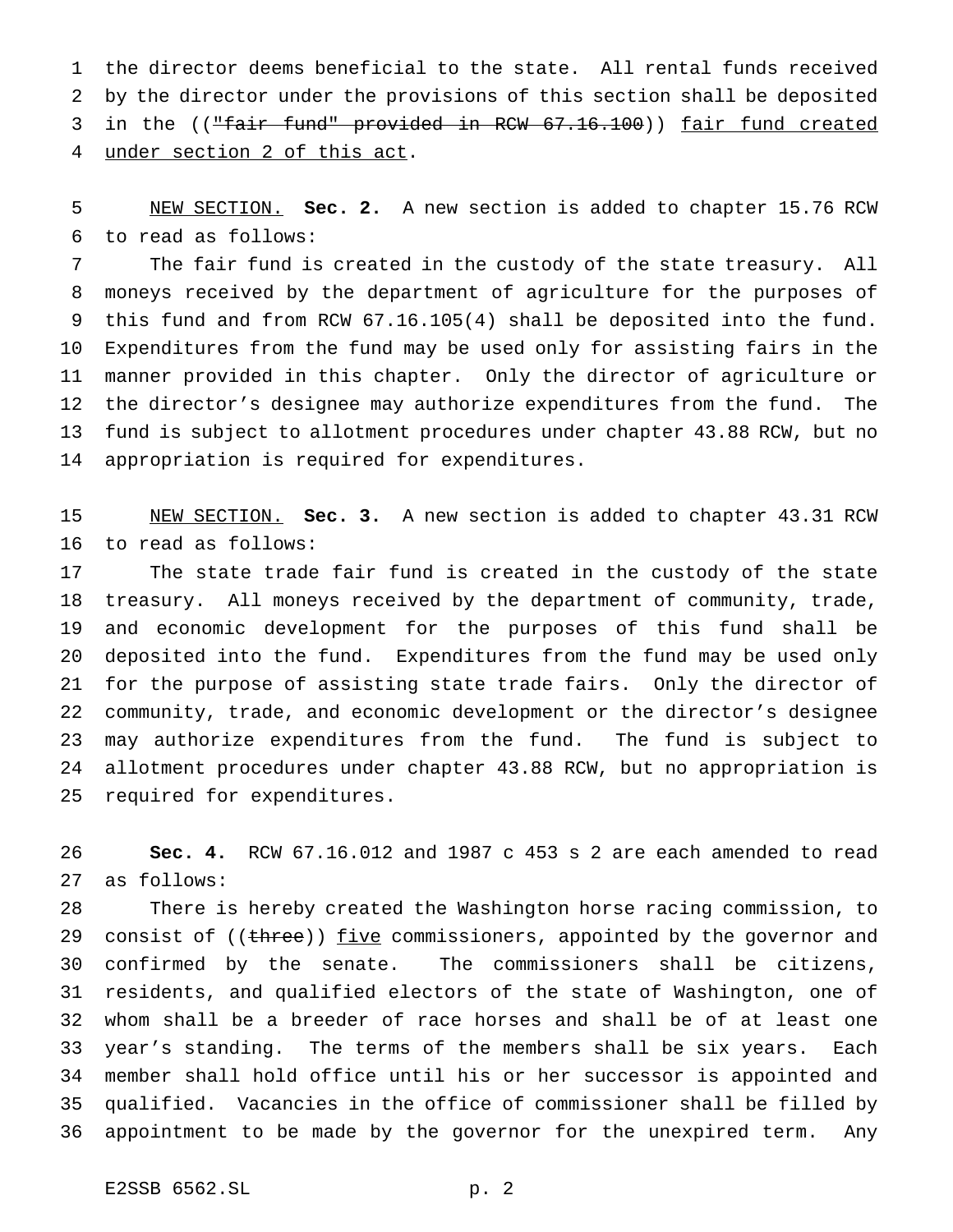the director deems beneficial to the state. All rental funds received by the director under the provisions of this section shall be deposited 3 in the (("fair fund" provided in RCW 67.16.100)) fair fund created under section 2 of this act.

 NEW SECTION. **Sec. 2.** A new section is added to chapter 15.76 RCW to read as follows:

 The fair fund is created in the custody of the state treasury. All moneys received by the department of agriculture for the purposes of this fund and from RCW 67.16.105(4) shall be deposited into the fund. Expenditures from the fund may be used only for assisting fairs in the manner provided in this chapter. Only the director of agriculture or the director's designee may authorize expenditures from the fund. The fund is subject to allotment procedures under chapter 43.88 RCW, but no appropriation is required for expenditures.

 NEW SECTION. **Sec. 3.** A new section is added to chapter 43.31 RCW to read as follows:

 The state trade fair fund is created in the custody of the state treasury. All moneys received by the department of community, trade, and economic development for the purposes of this fund shall be deposited into the fund. Expenditures from the fund may be used only for the purpose of assisting state trade fairs. Only the director of community, trade, and economic development or the director's designee may authorize expenditures from the fund. The fund is subject to allotment procedures under chapter 43.88 RCW, but no appropriation is required for expenditures.

 **Sec. 4.** RCW 67.16.012 and 1987 c 453 s 2 are each amended to read as follows:

 There is hereby created the Washington horse racing commission, to 29 consist of ((three)) five commissioners, appointed by the governor and confirmed by the senate. The commissioners shall be citizens, residents, and qualified electors of the state of Washington, one of whom shall be a breeder of race horses and shall be of at least one year's standing. The terms of the members shall be six years. Each member shall hold office until his or her successor is appointed and qualified. Vacancies in the office of commissioner shall be filled by appointment to be made by the governor for the unexpired term. Any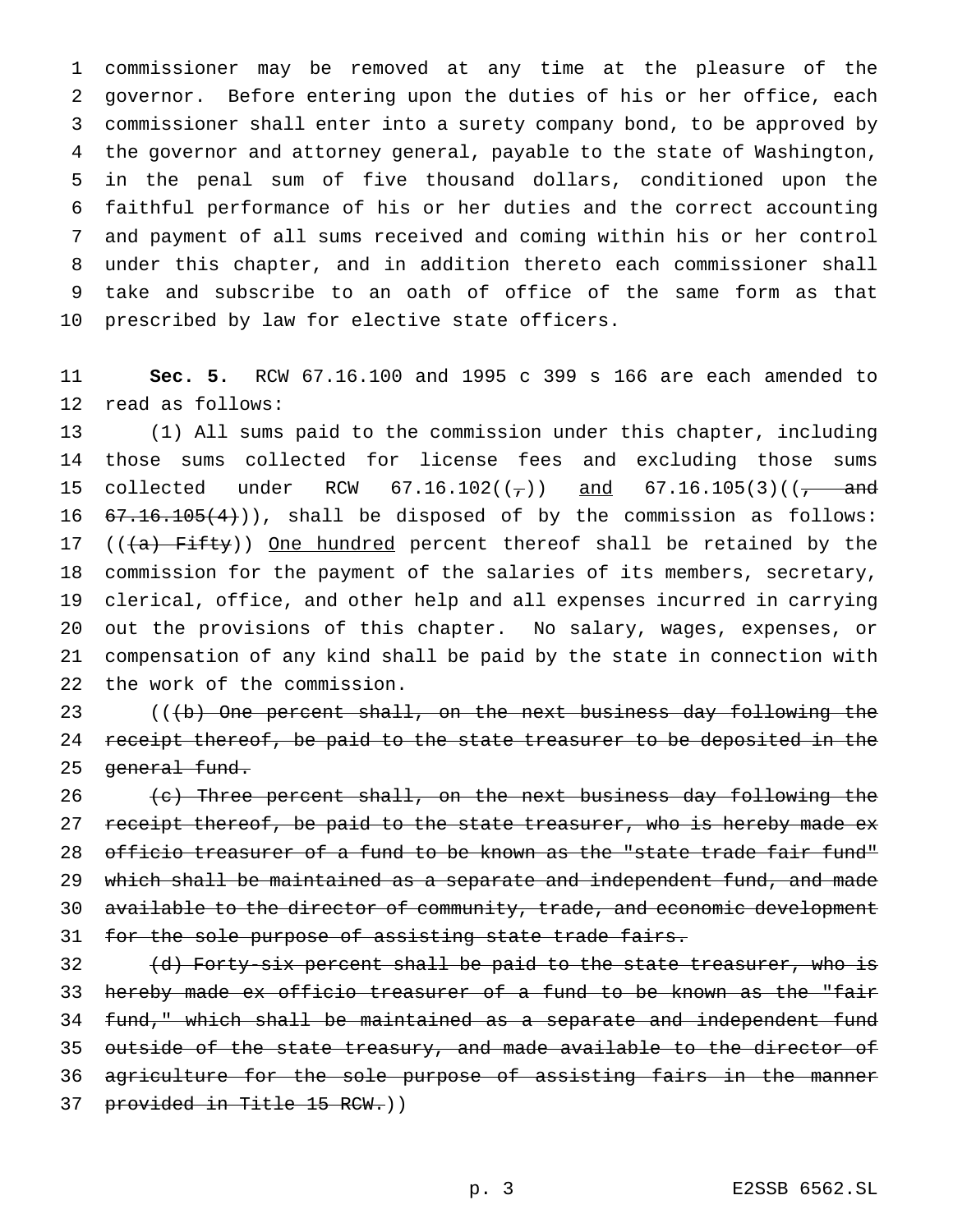commissioner may be removed at any time at the pleasure of the governor. Before entering upon the duties of his or her office, each commissioner shall enter into a surety company bond, to be approved by the governor and attorney general, payable to the state of Washington, in the penal sum of five thousand dollars, conditioned upon the faithful performance of his or her duties and the correct accounting and payment of all sums received and coming within his or her control under this chapter, and in addition thereto each commissioner shall take and subscribe to an oath of office of the same form as that prescribed by law for elective state officers.

 **Sec. 5.** RCW 67.16.100 and 1995 c 399 s 166 are each amended to read as follows:

 (1) All sums paid to the commission under this chapter, including those sums collected for license fees and excluding those sums 15 collected under RCW  $67.16.102((7))$  and  $67.16.105(3)((7 - and$  $67.16.105(4)$ ), shall be disposed of by the commission as follows: 17 ( $(\overline{a})$  Fifty)) One hundred percent thereof shall be retained by the commission for the payment of the salaries of its members, secretary, clerical, office, and other help and all expenses incurred in carrying out the provisions of this chapter. No salary, wages, expenses, or compensation of any kind shall be paid by the state in connection with the work of the commission.

23 (((b) One percent shall, on the next business day following the 24 receipt thereof, be paid to the state treasurer to be deposited in the 25 general fund.

 $\left($   $\epsilon\right)$  Three percent shall, on the next business day following the 27 receipt thereof, be paid to the state treasurer, who is hereby made ex 28 officio treasurer of a fund to be known as the "state trade fair fund" which shall be maintained as a separate and independent fund, and made available to the director of community, trade, and economic development 31 for the sole purpose of assisting state trade fairs.

32 (d) Forty-six percent shall be paid to the state treasurer, who is hereby made ex officio treasurer of a fund to be known as the "fair fund," which shall be maintained as a separate and independent fund 35 outside of the state treasury, and made available to the director of agriculture for the sole purpose of assisting fairs in the manner provided in Title 15 RCW.))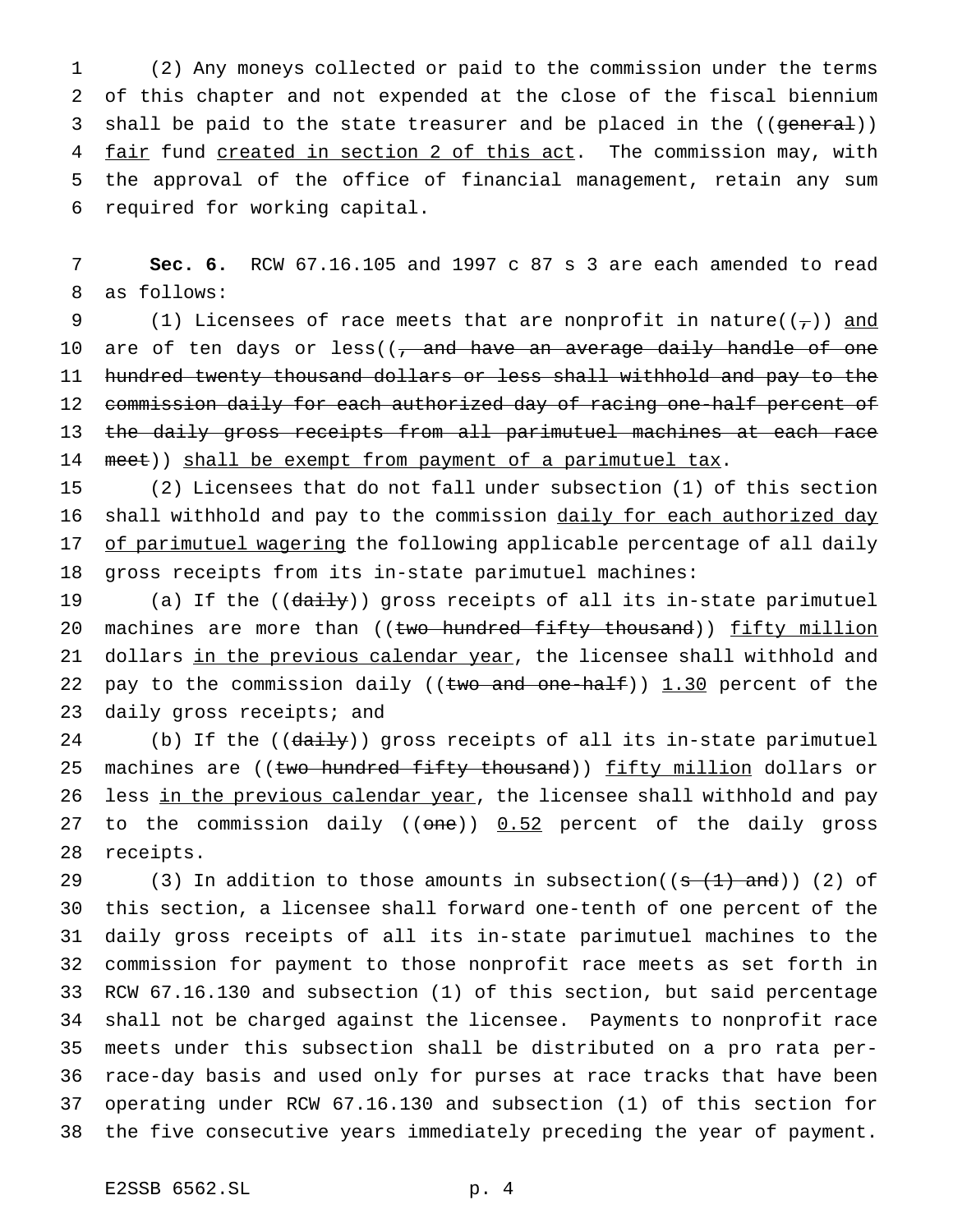(2) Any moneys collected or paid to the commission under the terms of this chapter and not expended at the close of the fiscal biennium 3 shall be paid to the state treasurer and be placed in the ((general)) 4 fair fund created in section 2 of this act. The commission may, with the approval of the office of financial management, retain any sum required for working capital.

7 **Sec. 6.** RCW 67.16.105 and 1997 c 87 s 3 are each amended to read 8 as follows:

9 (1) Licensees of race meets that are nonprofit in nature( $(\tau)$ ) and 10 are of ten days or less((<del>, and have an average daily handle of one</del> 11 hundred twenty thousand dollars or less shall withhold and pay to the 12 commission daily for each authorized day of racing one-half percent of 13 the daily gross receipts from all parimutuel machines at each race 14 meet)) shall be exempt from payment of a parimutuel tax.

15 (2) Licensees that do not fall under subsection (1) of this section 16 shall withhold and pay to the commission daily for each authorized day 17 of parimutuel wagering the following applicable percentage of all daily 18 gross receipts from its in-state parimutuel machines:

19 (a) If the ((daily)) gross receipts of all its in-state parimutuel 20 machines are more than ((two hundred fifty thousand)) fifty million 21 dollars in the previous calendar year, the licensee shall withhold and 22 pay to the commission daily (( $t$ wo and one-half)) 1.30 percent of the 23 daily gross receipts; and

24 (b) If the ((daily)) gross receipts of all its in-state parimutuel 25 machines are ((two hundred fifty thousand)) fifty million dollars or 26 less in the previous calendar year, the licensee shall withhold and pay 27 to the commission daily (( $\theta$ ne))  $0.52$  percent of the daily gross 28 receipts.

29 (3) In addition to those amounts in subsection( $(\frac{1}{3} + 1)$  and)) (2) of this section, a licensee shall forward one-tenth of one percent of the daily gross receipts of all its in-state parimutuel machines to the commission for payment to those nonprofit race meets as set forth in RCW 67.16.130 and subsection (1) of this section, but said percentage shall not be charged against the licensee. Payments to nonprofit race meets under this subsection shall be distributed on a pro rata per- race-day basis and used only for purses at race tracks that have been operating under RCW 67.16.130 and subsection (1) of this section for the five consecutive years immediately preceding the year of payment.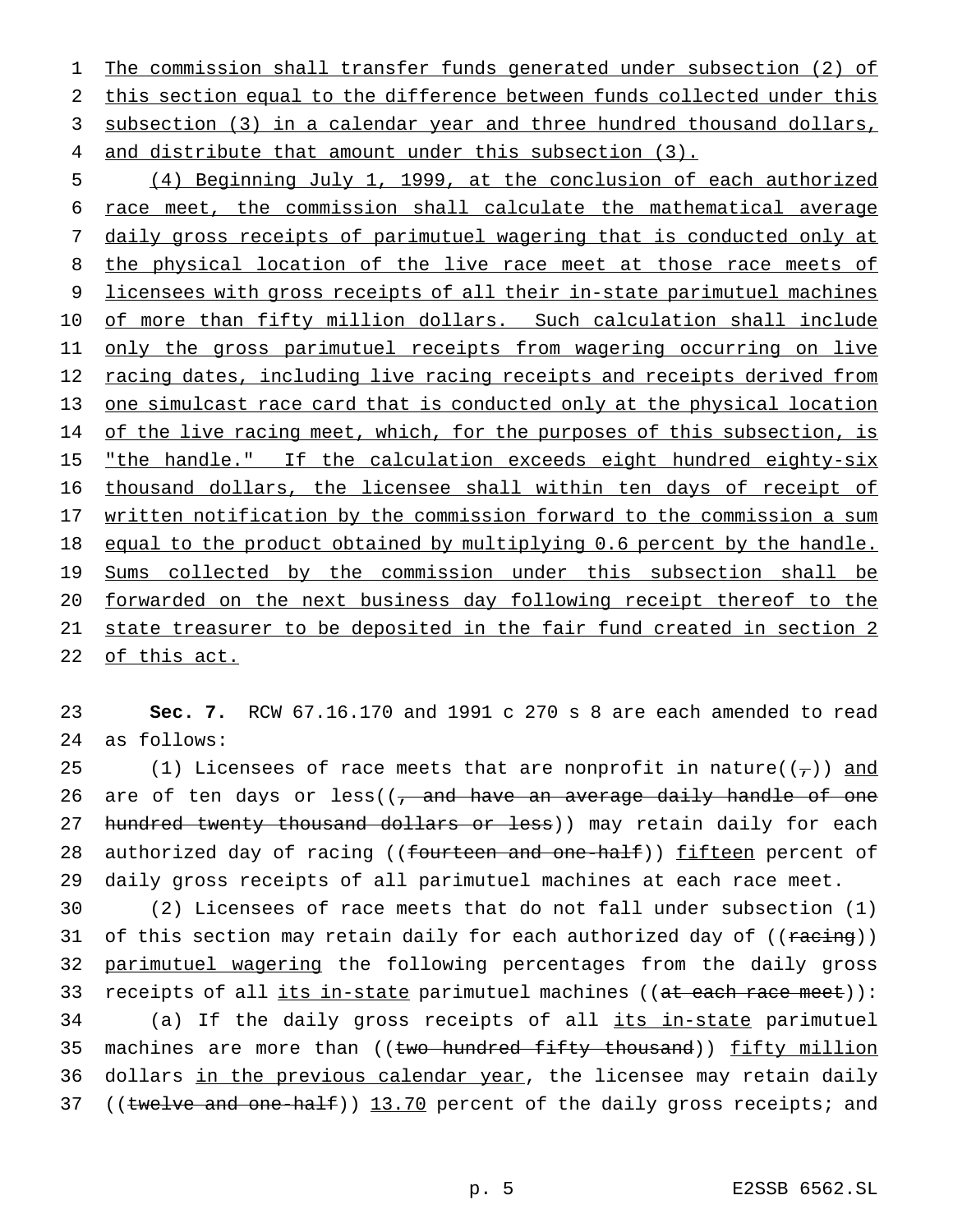The commission shall transfer funds generated under subsection (2) of this section equal to the difference between funds collected under this subsection (3) in a calendar year and three hundred thousand dollars, 4 and distribute that amount under this subsection (3).

5 (4) Beginning July 1, 1999, at the conclusion of each authorized 6 race meet, the commission shall calculate the mathematical average 7 daily gross receipts of parimutuel wagering that is conducted only at 8 the physical location of the live race meet at those race meets of 9 licensees with gross receipts of all their in-state parimutuel machines 10 of more than fifty million dollars. Such calculation shall include 11 only the gross parimutuel receipts from wagering occurring on live 12 racing dates, including live racing receipts and receipts derived from 13 one simulcast race card that is conducted only at the physical location 14 of the live racing meet, which, for the purposes of this subsection, is 15 "the handle." If the calculation exceeds eight hundred eighty-six 16 thousand dollars, the licensee shall within ten days of receipt of 17 written notification by the commission forward to the commission a sum 18 equal to the product obtained by multiplying 0.6 percent by the handle. 19 Sums collected by the commission under this subsection shall be 20 forwarded on the next business day following receipt thereof to the 21 state treasurer to be deposited in the fair fund created in section 2 22 of this act.

23 **Sec. 7.** RCW 67.16.170 and 1991 c 270 s 8 are each amended to read 24 as follows:

25 (1) Licensees of race meets that are nonprofit in nature( $(\tau)$ ) and 26 are of ten days or less( $\left( \frac{1}{2} \right)$  and have an average daily handle of one 27 hundred twenty thousand dollars or less)) may retain daily for each 28 authorized day of racing ((<del>fourteen and one-half</del>)) fifteen percent of 29 daily gross receipts of all parimutuel machines at each race meet.

30 (2) Licensees of race meets that do not fall under subsection (1) 31 of this section may retain daily for each authorized day of ((racing)) 32 parimutuel wagering the following percentages from the daily gross 33 receipts of all its in-state parimutuel machines ((at each race meet)): 34 (a) If the daily gross receipts of all its in-state parimutuel 35 machines are more than ((two hundred fifty thousand)) fifty million 36 dollars in the previous calendar year, the licensee may retain daily 37 ((twelve and one-half)) 13.70 percent of the daily gross receipts; and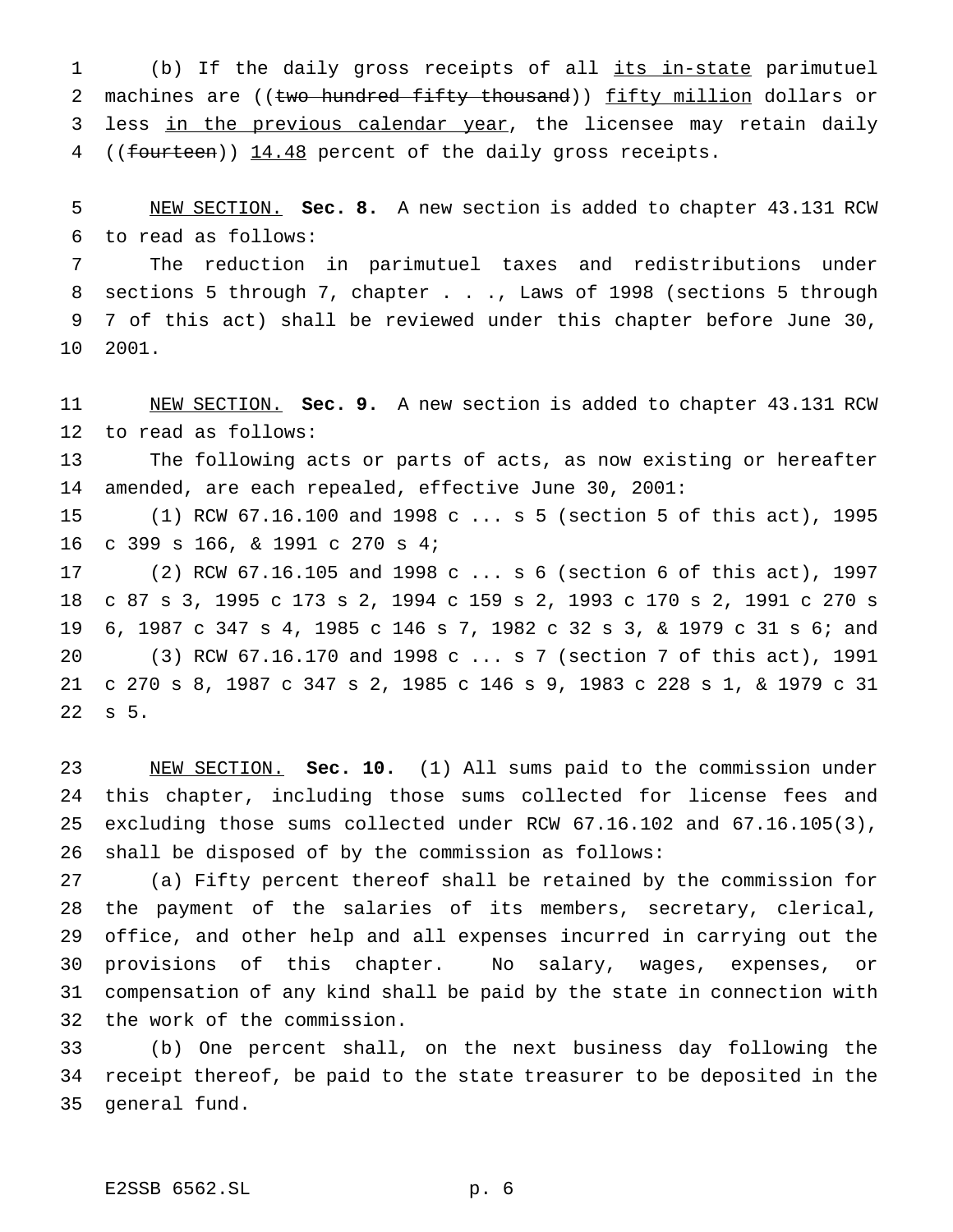1 (b) If the daily gross receipts of all its in-state parimutuel 2 machines are ((two hundred fifty thousand)) fifty million dollars or 3 less in the previous calendar year, the licensee may retain daily 4 ((fourteen)) 14.48 percent of the daily gross receipts.

 NEW SECTION. **Sec. 8.** A new section is added to chapter 43.131 RCW to read as follows:

 The reduction in parimutuel taxes and redistributions under sections 5 through 7, chapter . . ., Laws of 1998 (sections 5 through 7 of this act) shall be reviewed under this chapter before June 30, 2001.

 NEW SECTION. **Sec. 9.** A new section is added to chapter 43.131 RCW to read as follows:

 The following acts or parts of acts, as now existing or hereafter amended, are each repealed, effective June 30, 2001:

 (1) RCW 67.16.100 and 1998 c ... s 5 (section 5 of this act), 1995 c 399 s 166, & 1991 c 270 s 4;

 (2) RCW 67.16.105 and 1998 c ... s 6 (section 6 of this act), 1997 c 87 s 3, 1995 c 173 s 2, 1994 c 159 s 2, 1993 c 170 s 2, 1991 c 270 s 6, 1987 c 347 s 4, 1985 c 146 s 7, 1982 c 32 s 3, & 1979 c 31 s 6; and (3) RCW 67.16.170 and 1998 c ... s 7 (section 7 of this act), 1991 c 270 s 8, 1987 c 347 s 2, 1985 c 146 s 9, 1983 c 228 s 1, & 1979 c 31 s 5.

 NEW SECTION. **Sec. 10.** (1) All sums paid to the commission under this chapter, including those sums collected for license fees and excluding those sums collected under RCW 67.16.102 and 67.16.105(3), shall be disposed of by the commission as follows:

 (a) Fifty percent thereof shall be retained by the commission for the payment of the salaries of its members, secretary, clerical, office, and other help and all expenses incurred in carrying out the provisions of this chapter. No salary, wages, expenses, or compensation of any kind shall be paid by the state in connection with the work of the commission.

 (b) One percent shall, on the next business day following the receipt thereof, be paid to the state treasurer to be deposited in the general fund.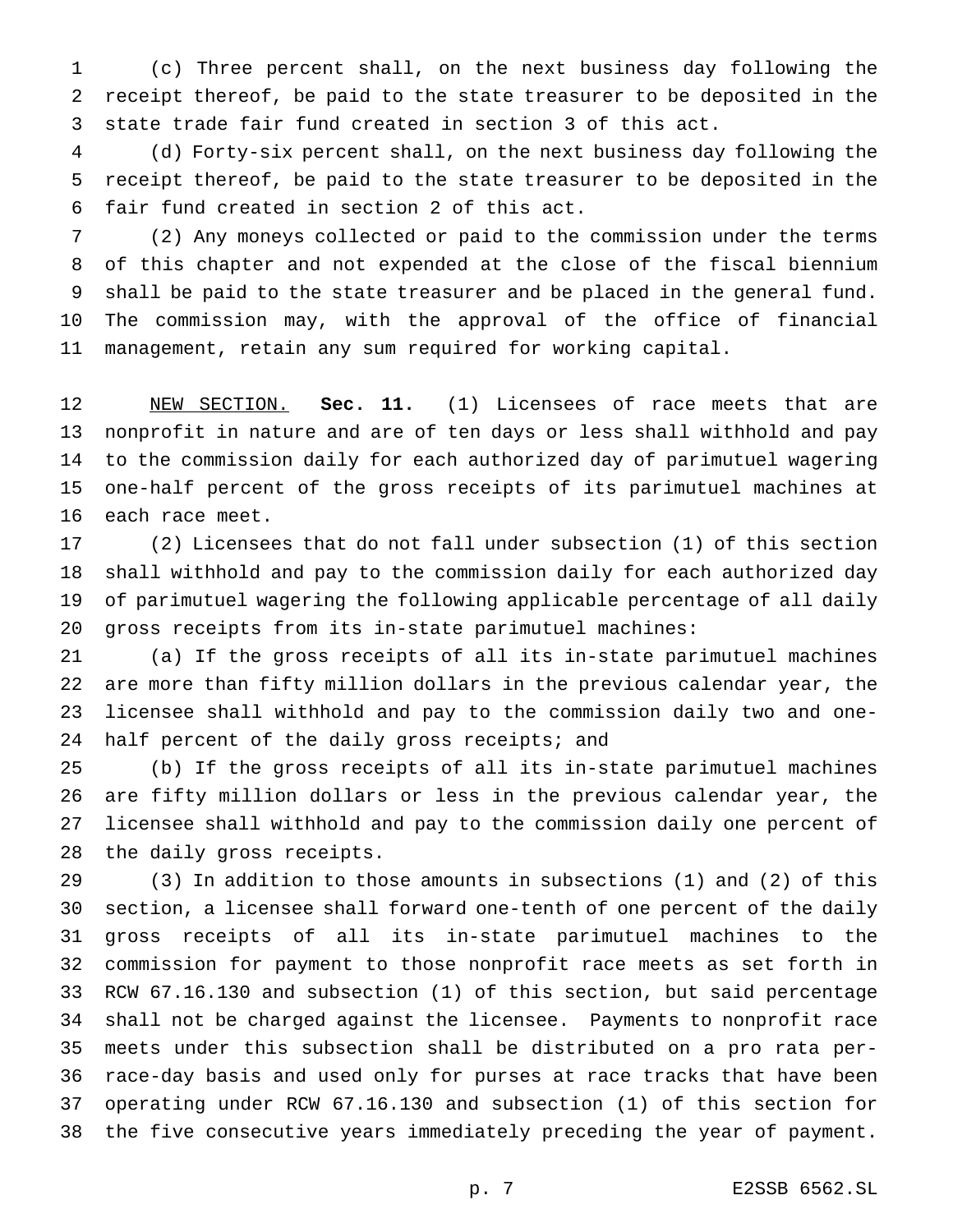(c) Three percent shall, on the next business day following the receipt thereof, be paid to the state treasurer to be deposited in the state trade fair fund created in section 3 of this act.

 (d) Forty-six percent shall, on the next business day following the receipt thereof, be paid to the state treasurer to be deposited in the fair fund created in section 2 of this act.

 (2) Any moneys collected or paid to the commission under the terms of this chapter and not expended at the close of the fiscal biennium shall be paid to the state treasurer and be placed in the general fund. The commission may, with the approval of the office of financial management, retain any sum required for working capital.

 NEW SECTION. **Sec. 11.** (1) Licensees of race meets that are nonprofit in nature and are of ten days or less shall withhold and pay to the commission daily for each authorized day of parimutuel wagering one-half percent of the gross receipts of its parimutuel machines at each race meet.

 (2) Licensees that do not fall under subsection (1) of this section shall withhold and pay to the commission daily for each authorized day of parimutuel wagering the following applicable percentage of all daily gross receipts from its in-state parimutuel machines:

 (a) If the gross receipts of all its in-state parimutuel machines are more than fifty million dollars in the previous calendar year, the licensee shall withhold and pay to the commission daily two and one-24 half percent of the daily gross receipts; and

 (b) If the gross receipts of all its in-state parimutuel machines are fifty million dollars or less in the previous calendar year, the licensee shall withhold and pay to the commission daily one percent of the daily gross receipts.

 (3) In addition to those amounts in subsections (1) and (2) of this section, a licensee shall forward one-tenth of one percent of the daily gross receipts of all its in-state parimutuel machines to the commission for payment to those nonprofit race meets as set forth in RCW 67.16.130 and subsection (1) of this section, but said percentage shall not be charged against the licensee. Payments to nonprofit race meets under this subsection shall be distributed on a pro rata per- race-day basis and used only for purses at race tracks that have been operating under RCW 67.16.130 and subsection (1) of this section for the five consecutive years immediately preceding the year of payment.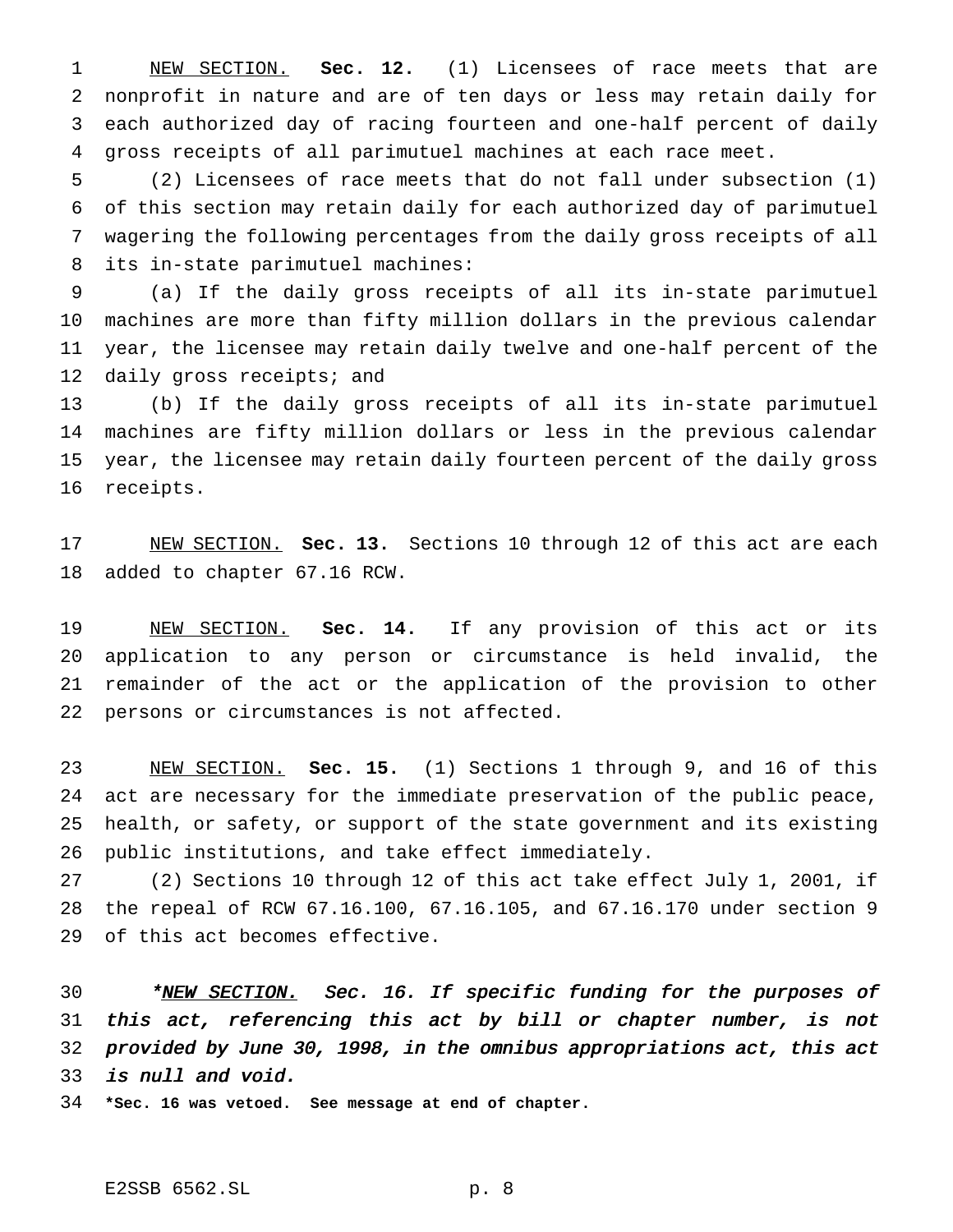NEW SECTION. **Sec. 12.** (1) Licensees of race meets that are nonprofit in nature and are of ten days or less may retain daily for each authorized day of racing fourteen and one-half percent of daily gross receipts of all parimutuel machines at each race meet.

 (2) Licensees of race meets that do not fall under subsection (1) of this section may retain daily for each authorized day of parimutuel wagering the following percentages from the daily gross receipts of all its in-state parimutuel machines:

 (a) If the daily gross receipts of all its in-state parimutuel machines are more than fifty million dollars in the previous calendar year, the licensee may retain daily twelve and one-half percent of the 12 daily gross receipts; and

 (b) If the daily gross receipts of all its in-state parimutuel machines are fifty million dollars or less in the previous calendar year, the licensee may retain daily fourteen percent of the daily gross receipts.

 NEW SECTION. **Sec. 13.** Sections 10 through 12 of this act are each added to chapter 67.16 RCW.

 NEW SECTION. **Sec. 14.** If any provision of this act or its application to any person or circumstance is held invalid, the remainder of the act or the application of the provision to other persons or circumstances is not affected.

 NEW SECTION. **Sec. 15.** (1) Sections 1 through 9, and 16 of this act are necessary for the immediate preservation of the public peace, health, or safety, or support of the state government and its existing public institutions, and take effect immediately.

 (2) Sections 10 through 12 of this act take effect July 1, 2001, if the repeal of RCW 67.16.100, 67.16.105, and 67.16.170 under section 9 of this act becomes effective.

30 \*NEW SECTION. Sec. 16. If specific funding for the purposes of this act, referencing this act by bill or chapter number, is not provided by June 30, 1998, in the omnibus appropriations act, this act is null and void.

**\*Sec. 16 was vetoed. See message at end of chapter.**

E2SSB 6562.SL p. 8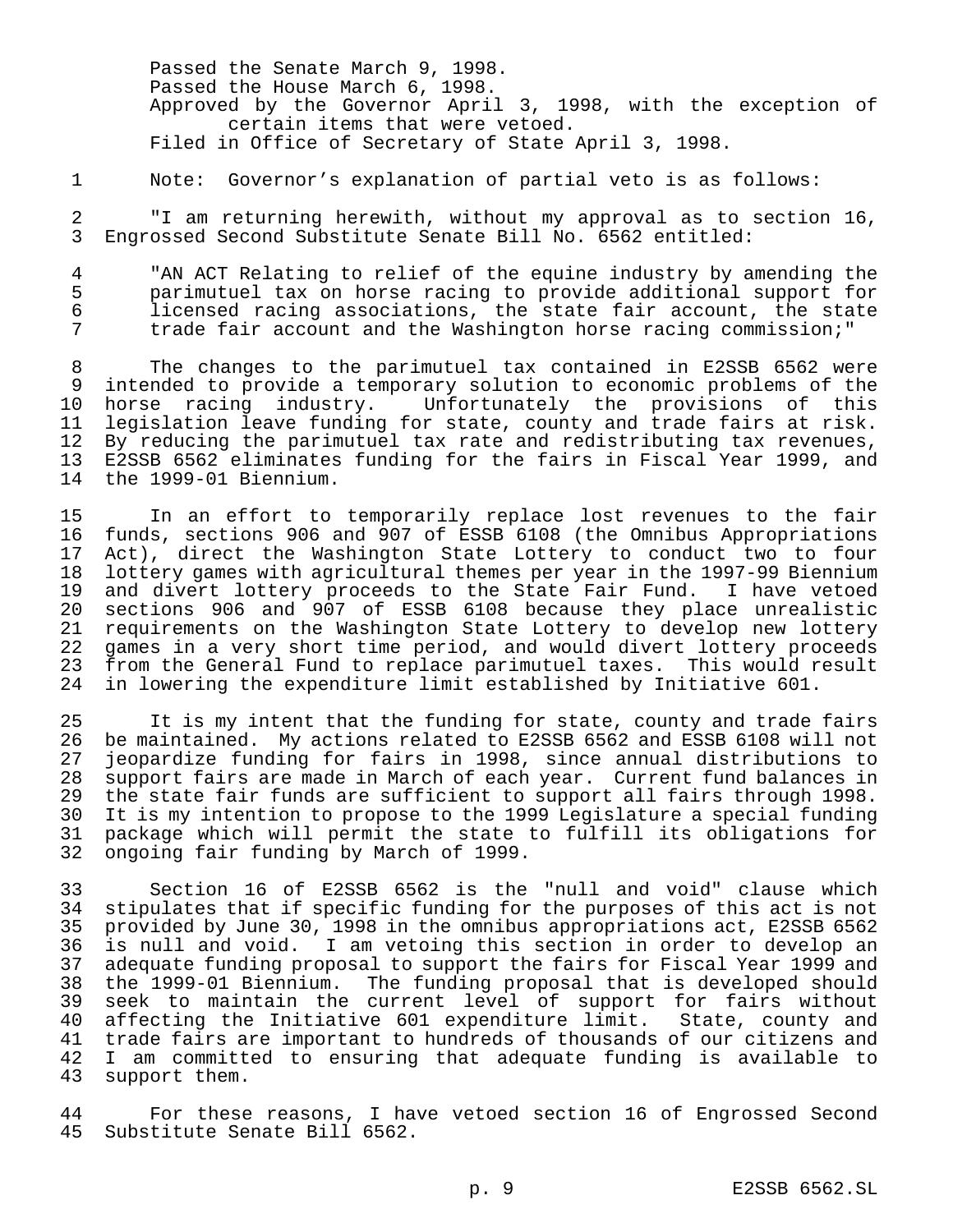Passed the Senate March 9, 1998. Passed the House March 6, 1998. Approved by the Governor April 3, 1998, with the exception of certain items that were vetoed. Filed in Office of Secretary of State April 3, 1998.

1 Note: Governor's explanation of partial veto is as follows:

2 "I am returning herewith, without my approval as to section 16, 3 Engrossed Second Substitute Senate Bill No. 6562 entitled:

4 "AN ACT Relating to relief of the equine industry by amending the<br>5 parimutuel tax on horse racing to provide additional support for 5 parimutuel tax on horse racing to provide additional support for licensed racing associations, the state fair account, the state 7 trade fair account and the Washington horse racing commission;"

 The changes to the parimutuel tax contained in E2SSB 6562 were intended to provide a temporary solution to economic problems of the horse racing industry. Unfortunately the provisions of this legislation leave funding for state, county and trade fairs at risk. 12 By reducing the parimutuel tax rate and redistributing tax revenues,<br>13 E2SSB 6562 eliminates funding for the fairs in Fiscal Year 1999, and E2SSB 6562 eliminates funding for the fairs in Fiscal Year 1999, and the 1999-01 Biennium.

15 In an effort to temporarily replace lost revenues to the fair 16 funds, sections 906 and 907 of ESSB 6108 (the Omnibus Appropriations 17 Act), direct the Washington State Lottery to conduct two to four<br>18 lottery games with agricultural themes per year in the 1997-99 Biennium 18 lottery games with agricultural themes per year in the 1997-99 Biennium<br>19 and divert lottery proceeds to the State Fair Fund. I have vetoed 19 and divert lottery proceeds to the State Fair Fund. I have vetoed<br>20 sections 906 and 907 of ESSB 6108 because they place unrealistic sections 906 and 907 of ESSB 6108 because they place unrealistic 21 requirements on the Washington State Lottery to develop new lottery 22 games in a very short time period, and would divert lottery proceeds<br>23 from the General Fund to replace parimutuel taxes. This would result 23 from the General Fund to replace parimutuel taxes. This would result<br>24 in lowering the expenditure limit established by Initiative 601. in lowering the expenditure limit established by Initiative 601.

 It is my intent that the funding for state, county and trade fairs be maintained. My actions related to E2SSB 6562 and ESSB 6108 will not jeopardize funding for fairs in 1998, since annual distributions to 28 support fairs are made in March of each year. Current fund balances in<br>29 the state fair funds are sufficient to support all fairs through 1998. 29 the state fair funds are sufficient to support all fairs through 1998.<br>20 It is my intention to propose to the 1999 Legislature a special funding It is my intention to propose to the 1999 Legislature a special funding package which will permit the state to fulfill its obligations for ongoing fair funding by March of 1999.

33 Section 16 of E2SSB 6562 is the "null and void" clause which 34 stipulates that if specific funding for the purposes of this act is not<br>35 provided by June 30, 1998 in the omnibus appropriations act, E2SSB 6562 provided by June 30, 1998 in the omnibus appropriations act, E2SSB 6562 36 is null and void. I am vetoing this section in order to develop an 37 adequate funding proposal to support the fairs for Fiscal Year 1999 and<br>38 the 1999-01 Biennium. The funding proposal that is developed should 38 the 1999-01 Biennium. The funding proposal that is developed should 39 seek to maintain the current level of support for fairs without 40 affecting the Initiative 601 expenditure limit. State, county and 41 trade fairs are important to hundreds of thousands of our citizens and<br>42 I am committed to ensuring that adequate funding is available to 42 I am committed to ensuring that adequate funding is available to 43 support them. support them.

44 For these reasons, I have vetoed section 16 of Engrossed Second Substitute Senate Bill 6562.